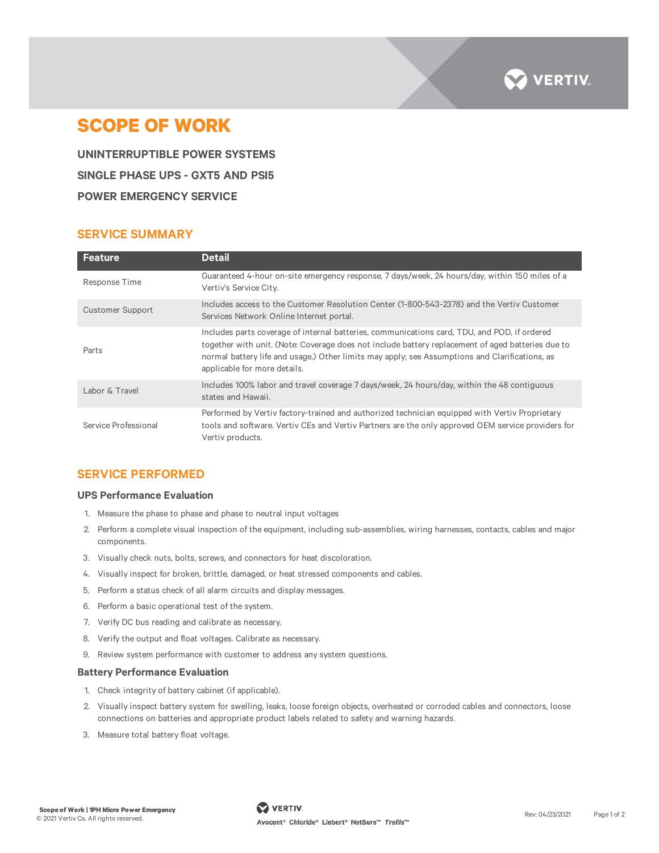

# **SCOPE OF WORK**

**UNINTERRUPTIBLE POWER SYSTEMS SINGLE PHASE UPS - GXT5 AND PSI5 POWER EMERGENCY SERVICE**

# **SERVICE SUMMARY**

| <b>Feature</b>          | <b>Detail</b>                                                                                                                                                                                                                                                                                                                       |
|-------------------------|-------------------------------------------------------------------------------------------------------------------------------------------------------------------------------------------------------------------------------------------------------------------------------------------------------------------------------------|
| Response Time           | Guaranteed 4-hour on-site emergency response, 7 days/week, 24 hours/day, within 150 miles of a<br>Vertiv's Service City.                                                                                                                                                                                                            |
| <b>Customer Support</b> | Includes access to the Customer Resolution Center (1-800-543-2378) and the Vertiv Customer<br>Services Network Online Internet portal.                                                                                                                                                                                              |
| Parts                   | Includes parts coverage of internal batteries, communications card, TDU, and POD, if ordered<br>together with unit. (Note: Coverage does not include battery replacement of aged batteries due to<br>normal battery life and usage.) Other limits may apply; see Assumptions and Clarifications, as<br>applicable for more details. |
| Labor & Travel          | Includes 100% labor and travel coverage 7 days/week, 24 hours/day, within the 48 contiguous<br>states and Hawaii.                                                                                                                                                                                                                   |
| Service Professional    | Performed by Vertiv factory-trained and authorized technician equipped with Vertiv Proprietary<br>tools and software. Vertiv CEs and Vertiv Partners are the only approved OEM service providers for<br>Vertiv products.                                                                                                            |

# **SERVICE PERFORMED**

#### **UPS Performance Evaluation**

- 1. Measure the phase to phase and phase to neutral input voltages
- 2. Perform a complete visual inspection of the equipment, including sub-assemblies, wiring harnesses, contacts, cables and major components.
- 3. Visually check nuts, bolts, screws, and connectors for heat discoloration.
- 4. Visually inspect for broken, brittle, damaged, or heat stressed components and cables.
- 5. Perform a status check of all alarm circuits and display messages.
- 6. Perform a basic operational test of the system.
- 7. Verify DC bus reading and calibrate as necessary.
- 8. Verify the output and float voltages. Calibrate as necessary.
- 9. Review system performance with customer to address any system questions.

#### **Battery Performance Evaluation**

- 1. Check integrity of battery cabinet (if applicable).
- 2. Visually inspect battery system for swelling, leaks, loose foreign objects, overheated or corroded cables and connectors, loose connections on batteries and appropriate product labels related to safety and warning hazards.
- 3. Measure total battery float voltage.